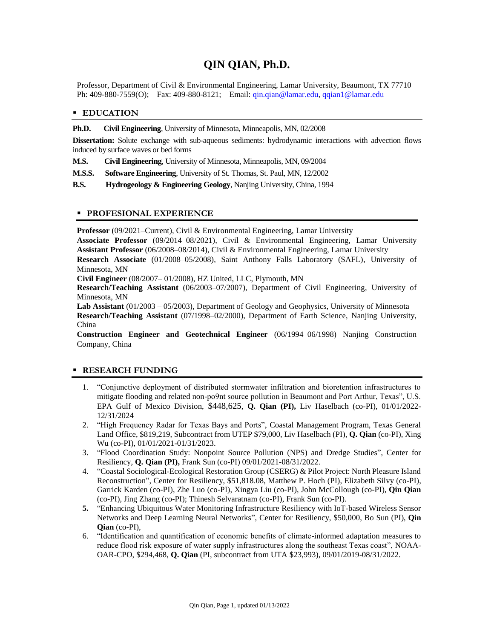# **QIN QIAN, Ph.D.**

Professor, Department of Civil & Environmental Engineering, Lamar University, Beaumont, TX 77710 Ph: 409-880-7559(O); Fax: 409-880-8121; Email: [qin.qian@lamar.edu,](mailto:qin.qian@lamar.edu) [qqian1@lamar.edu](mailto:qqian1@lamar.edu)

#### **EDUCATION**

#### **Ph.D. Civil Engineering**, University of Minnesota, Minneapolis, MN, 02/2008

**Dissertation:** Solute exchange with sub-aqueous sediments: hydrodynamic interactions with advection flows induced by surface waves or bed forms

**M.S. Civil Engineering**, University of Minnesota, Minneapolis, MN, 09/2004

**M.S.S. Software Engineering**, University of St. Thomas, St. Paul, MN, 12/2002

**B.S. Hydrogeology & Engineering Geology**, Nanjing University, China, 1994

#### **PROFESIONAL EXPERIENCE**

**Professor** (09/2021–Current), Civil & Environmental Engineering, Lamar University

**Associate Professor** (09/2014–08/2021), Civil & Environmental Engineering, Lamar University **Assistant Professor** (06/2008–08/2014), Civil & Environmental Engineering, Lamar University

**Research Associate** (01/2008–05/2008), Saint Anthony Falls Laboratory (SAFL), University of Minnesota, MN

**Civil Engineer** (08/2007– 01/2008), HZ United, LLC, Plymouth, MN

**Research/Teaching Assistant** (06/2003–07/2007), Department of Civil Engineering, University of Minnesota, MN

**Lab Assistant** (01/2003 – 05/2003), Department of Geology and Geophysics, University of Minnesota **Research/Teaching Assistant** (07/1998–02/2000), Department of Earth Science, Nanjing University, China

**Construction Engineer and Geotechnical Engineer** (06/1994–06/1998) Nanjing Construction Company, China

## **RESEARCH FUNDING**

- 1. "Conjunctive deployment of distributed stormwater infiltration and bioretention infrastructures to mitigate flooding and related non-po9nt source pollution in Beaumont and Port Arthur, Texas", U.S. EPA Gulf of Mexico Division, \$448,625, **Q. Qian (PI),** Liv Haselbach (co-PI), 01/01/2022- 12/31/2024
- 2. "High Frequency Radar for Texas Bays and Ports", Coastal Management Program, Texas General Land Office, \$819,219, Subcontract from UTEP \$79,000, Liv Haselbach (PI), **Q. Qian** (co-PI), Xing Wu (co-PI), 01/01/2021-01/31/2023.
- 3. "Flood Coordination Study: Nonpoint Source Pollution (NPS) and Dredge Studies", Center for Resiliency, **Q. Qian (PI),** Frank Sun (co-PI) 09/01/2021-08/31/2022.
- 4. "Coastal Sociological-Ecological Restoration Group (CSERG) & Pilot Project: North Pleasure Island Reconstruction", Center for Resiliency, \$51,818.08, Matthew P. Hoch (PI), Elizabeth Silvy (co-PI), Garrick Karden (co-PI), Zhe Luo (co-PI), Xingya Liu (co-PI), John McCollough (co-PI), **Qin Qian** (co-PI), Jing Zhang (co-PI); Thinesh Selvaratnam (co-PI), Frank Sun (co-PI).
- **5.** "Enhancing Ubiquitous Water Monitoring Infrastructure Resiliency with IoT-based Wireless Sensor Networks and Deep Learning Neural Networks", Center for Resiliency, \$50,000, Bo Sun (PI), **Qin Qian** (co-PI),
- 6. "Identification and quantification of economic benefits of climate-informed adaptation measures to reduce flood risk exposure of water supply infrastructures along the southeast Texas coast", NOAA-OAR-CPO, \$294,468, **Q. Qian** (PI, subcontract from UTA \$23,993), 09/01/2019-08/31/2022.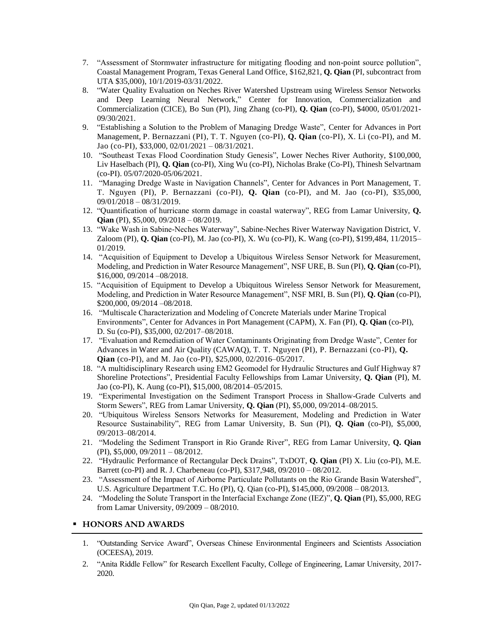- 7. "Assessment of Stormwater infrastructure for mitigating flooding and non-point source pollution", Coastal Management Program, Texas General Land Office, \$162,821, **Q. Qian** (PI, subcontract from UTA \$35,000), 10/1/2019-03/31/2022.
- 8. "Water Quality Evaluation on Neches River Watershed Upstream using Wireless Sensor Networks and Deep Learning Neural Network," Center for Innovation, Commercialization and Commercialization (CICE), Bo Sun (PI), Jing Zhang (co-PI), **Q. Qian** (co-PI), \$4000, 05/01/2021- 09/30/2021.
- 9. "Establishing a Solution to the Problem of Managing Dredge Waste", Center for Advances in Port Management, P. Bernazzani (PI), T. T. Nguyen (co-PI), **Q. Qian** (co-PI), X. Li (co-PI), and M. Jao (co-PI), \$33,000, 02/01/2021 – 08/31/2021.
- 10. "Southeast Texas Flood Coordination Study Genesis", Lower Neches River Authority, \$100,000, Liv Haselbach (PI), **Q. Qian** (co-PI), Xing Wu (co-PI), Nicholas Brake (Co-PI), Thinesh Selvartnam (co-PI). 05/07/2020-05/06/2021.
- 11. "Managing Dredge Waste in Navigation Channels", Center for Advances in Port Management, T. T. Nguyen (PI), P. Bernazzani (co-PI), **Q. Qian** (co-PI), and M. Jao (co-PI), \$35,000, 09/01/2018 – 08/31/2019.
- 12. "Quantification of hurricane storm damage in coastal waterway", REG from Lamar University, **Q. Qian** (PI), \$5,000, 09/2018 – 08/2019.
- 13. "Wake Wash in Sabine-Neches Waterway", Sabine-Neches River Waterway Navigation District, V. Zaloom (PI), **Q. Qian** (co-PI), M. Jao (co-PI), X. Wu (co-PI), K. Wang (co-PI), \$199,484, 11/2015– 01/2019.
- 14. "Acquisition of Equipment to Develop a Ubiquitous Wireless Sensor Network for Measurement, Modeling, and Prediction in Water Resource Management", NSF URE, B. Sun (PI), **Q. Qian** (co-PI), \$16,000, 09/2014 –08/2018.
- 15. "Acquisition of Equipment to Develop a Ubiquitous Wireless Sensor Network for Measurement, Modeling, and Prediction in Water Resource Management", NSF MRI, B. Sun (PI), **Q. Qian** (co-PI), \$200,000, 09/2014 –08/2018.
- 16. "Multiscale Characterization and Modeling of Concrete Materials under Marine Tropical Environments", Center for Advances in Port Management (CAPM), X. Fan (PI), **Q. Qian** (co-PI), D. Su (co-PI), \$35,000, 02/2017–08/2018.
- 17. "Evaluation and Remediation of Water Contaminants Originating from Dredge Waste", Center for Advances in Water and Air Quality (CAWAQ), T. T. Nguyen (PI), P. Bernazzani (co-PI), **Q. Qian** (co-PI), and M. Jao (co-PI), \$25,000, 02/2016–05/2017.
- 18. "A multidisciplinary Research using EM2 Geomodel for Hydraulic Structures and Gulf Highway 87 Shoreline Protections", Presidential Faculty Fellowships from Lamar University, **Q. Qian** (PI), M. Jao (co-PI), K. Aung (co-PI), \$15,000, 08/2014–05/2015.
- 19. "Experimental Investigation on the Sediment Transport Process in Shallow-Grade Culverts and Storm Sewers", REG from Lamar University, **Q. Qian** (PI), \$5,000, 09/2014–08/2015.
- 20. "Ubiquitous Wireless Sensors Networks for Measurement, Modeling and Prediction in Water Resource Sustainability", REG from Lamar University, B. Sun (PI), **Q. Qian** (co-PI), \$5,000, 09/2013–08/2014.
- 21. "Modeling the Sediment Transport in Rio Grande River", REG from Lamar University, **Q. Qian** (PI), \$5,000, 09/2011 – 08/2012.
- 22. "Hydraulic Performance of Rectangular Deck Drains", TxDOT, **Q. Qian** (PI) X. Liu (co-PI), M.E. Barrett (co-PI) and R. J. Charbeneau (co-PI), \$317,948, 09/2010 – 08/2012.
- 23. "Assessment of the Impact of Airborne Particulate Pollutants on the Rio Grande Basin Watershed", U.S. Agriculture Department T.C. Ho (PI), Q. Qian (co-PI), \$145,000, 09/2008 – 08/2013.
- 24. "Modeling the Solute Transport in the Interfacial Exchange Zone (IEZ)", **Q. Qian** (PI), \$5,000, REG from Lamar University, 09/2009 – 08/2010.

## **HONORS AND AWARDS**

- 1. "Outstanding Service Award", Overseas Chinese Environmental Engineers and Scientists Association (OCEESA), 2019.
- 2. "Anita Riddle Fellow" for Research Excellent Faculty, College of Engineering, Lamar University, 2017- 2020.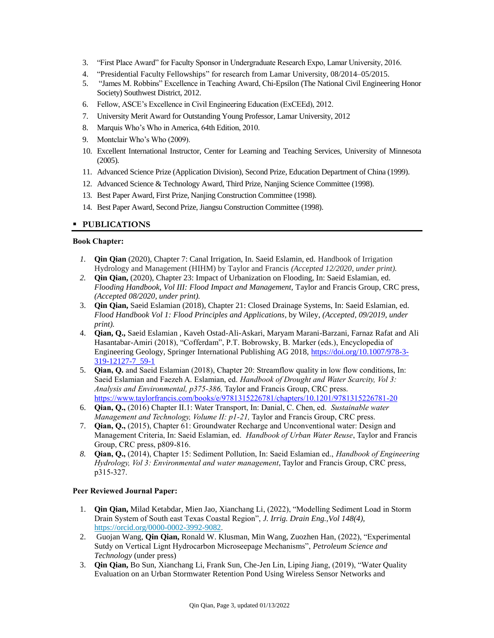- 3. "First Place Award" for Faculty Sponsor in Undergraduate Research Expo, Lamar University, 2016.
- 4. "Presidential Faculty Fellowships" for research from Lamar University, 08/2014–05/2015.
- 5. "James M. Robbins" Excellence in Teaching Award, Chi-Epsilon (The National Civil Engineering Honor Society) Southwest District, 2012.
- 6. Fellow, ASCE's Excellence in Civil Engineering Education (ExCEEd), 2012.
- 7. University Merit Award for Outstanding Young Professor, Lamar University, 2012
- 8. Marquis Who's Who in America, 64th Edition, 2010.
- 9. Montclair Who's Who (2009).
- 10. Excellent International Instructor, Center for Learning and Teaching Services, University of Minnesota (2005).
- 11. Advanced Science Prize (Application Division), Second Prize, Education Department of China (1999).
- 12. Advanced Science & Technology Award, Third Prize, Nanjing Science Committee (1998).
- 13. Best Paper Award, First Prize, Nanjing Construction Committee (1998).
- 14. Best Paper Award, Second Prize, Jiangsu Construction Committee (1998).

## **PUBLICATIONS**

#### **Book Chapter:**

- *1.* **Qin Qian** (2020), Chapter 7: Canal Irrigation, In. Saeid Eslamin, ed. Handbook of Irrigation Hydrology and Management (HIHM) by Taylor and Francis *(Accepted 12/2020, under print).*
- *2.* **Qin Qian,** (2020), Chapter 23: Impact of Urbanization on Flooding, In: Saeid Eslamian, ed. *Flooding Handbook, Vol III: Flood Impact and Management,* Taylor and Francis Group, CRC press, *(Accepted 08/2020, under print).*
- 3. **Qin Qian,** Saeid Eslamian (2018), Chapter 21: Closed Drainage Systems, In: Saeid Eslamian, ed. *Flood Handbook Vol 1: Flood Principles and Applications,* by Wiley, *(Accepted, 09/2019, under print).*
- 4. **Qian, Q.,** Saeid Eslamian , Kaveh Ostad-Ali-Askari, Maryam Marani-Barzani, Farnaz Rafat and Ali Hasantabar-Amiri (2018), "Cofferdam", P.T. Bobrowsky, B. Marker (eds.), Encyclopedia of Engineering Geology, Springer International Publishing AG 2018, [https://doi.org/10.1007/978-3-](https://doi.org/10.1007/978-3-319-12127-7_59-1) [319-12127-7\\_59-1](https://doi.org/10.1007/978-3-319-12127-7_59-1)
- 5. **Qian, Q.** and Saeid Eslamian (2018), Chapter 20: Streamflow quality in low flow conditions, In: Saeid Eslamian and Faezeh A. Eslamian, ed. *Handbook of Drought and Water Scarcity, Vol 3: Analysis and Environmental, p375-386,* Taylor and Francis Group, CRC press. <https://www.taylorfrancis.com/books/e/9781315226781/chapters/10.1201/9781315226781-20>
- 6. **Qian, Q.,** (2016) Chapter II.1: Water Transport, In: Danial, C. Chen, ed. *Sustainable water Management and Technology, Volume II: p1-21, Taylor and Francis Group, CRC press.*
- 7. **Qian, Q.,** (2015), Chapter 61: Groundwater Recharge and Unconventional water: Design and Management Criteria, In: Saeid Eslamian, ed. *Handbook of Urban Water Reuse*, Taylor and Francis Group, CRC press, p809-816.
- *8.* **Qian, Q.,** (2014), Chapter 15: Sediment Pollution, In: Saeid Eslamian ed., *Handbook of Engineering Hydrology, Vol 3: Environmental and water management*, Taylor and Francis Group, CRC press, p315-327.

## **Peer Reviewed Journal Paper:**

- 1. **Qin Qian,** Milad Ketabdar, Mien Jao, Xianchang Li, (2022), "Modelling Sediment Load in Storm Drain System of South east Texas Coastal Region", *J. Irrig. Drain Eng.,Vol 148(4),* [https://orcid.org/0000-0002-3992-9082.](https://orcid.org/0000-0002-3992-9082)
- 2. Guojan Wang, **Qin Qian,** Ronald W. Klusman, Min Wang, Zuozhen Han, (2022), "Experimental Sutdy on Vertical Lignt Hydrocarbon Microseepage Mechanisms", *Petroleum Science and Technology* (under press)
- 3. **Qin Qian,** Bo Sun, Xianchang Li, Frank Sun, Che-Jen Lin, Liping Jiang, (2019), "Water Quality Evaluation on an Urban Stormwater Retention Pond Using Wireless Sensor Networks and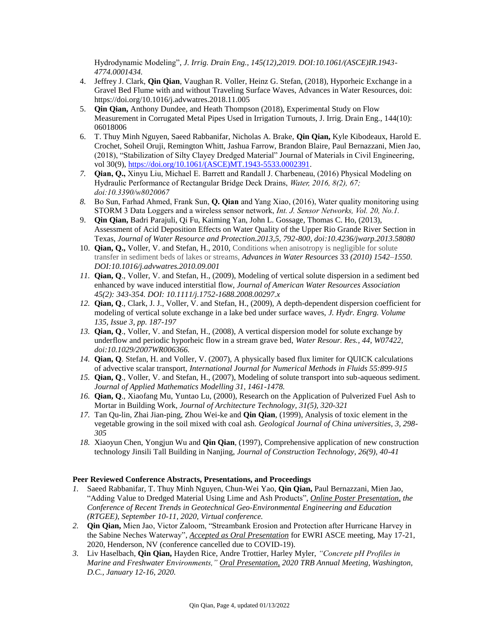Hydrodynamic Modeling", *J. Irrig. Drain Eng., 145(12),2019. DOI:10.1061/(ASCE)IR.1943- 4774.0001434.*

- 4. Jeffrey J. Clark, **Qin Qian**, Vaughan R. Voller, Heinz G. Stefan, (2018), Hyporheic Exchange in a Gravel Bed Flume with and without Traveling Surface Waves, Advances in Water Resources, doi: https://doi.org/10.1016/j.advwatres.2018.11.005
- 5. **Qin Qian,** Anthony Dundee, and Heath Thompson (2018), Experimental Study on Flow Measurement in Corrugated Metal Pipes Used in Irrigation Turnouts, J. Irrig. Drain Eng., 144(10): 06018006
- 6. T. Thuy Minh Nguyen, Saeed Rabbanifar, Nicholas A. Brake, **Qin Qian,** Kyle Kibodeaux, Harold E. Crochet, Soheil Oruji, Remington Whitt, Jashua Farrow, Brandon Blaire, Paul Bernazzani, Mien Jao, (2018), "Stabilization of Silty Clayey Dredged Material" Journal of Materials in Civil Engineering, vol 30(9), [https://doi.org/10.1061/\(ASCE\)MT.1943-5533.0002391.](https://doi.org/10.1061/(ASCE)MT.1943-5533.0002391)
- *7.* **Qian, Q.,** Xinyu Liu, Michael E. Barrett and Randall J. Charbeneau, (2016) Physical Modeling on Hydraulic Performance of Rectangular Bridge Deck Drains, *Water, 2016, 8(2), 67; doi:10.3390/w8020067*
- *8.* Bo Sun, Farhad Ahmed, Frank Sun, **Q. Qian** and Yang Xiao, (2016), Water quality monitoring using STORM 3 Data Loggers and a wireless sensor network, *Int. J. Sensor Networks, Vol. 20, No.1.*
- 9. **Qin Qian,** Badri Parajuli, Qi Fu, Kaiming Yan, John L. Gossage, Thomas C. Ho, (2013), Assessment of Acid Deposition Effects on Water Quality of the Upper Rio Grande River Section in Texas, *Journal of Water Resource and Protection.2013,5, 792-800, doi:10.4236/jwarp.2013.58080*
- 10. **Qian, Q.,** Voller, V. and Stefan, H., 2010, Conditions when anisotropy is negligible for solute transfer in sediment beds of lakes or streams, *Advances in Water Resources* 33 *(2010) 1542–1550*. *DOI:10.1016/j.advwatres.2010.09.001*
- *11.* **Qian, Q**., Voller, V. and Stefan, H., (2009), Modeling of vertical solute dispersion in a sediment bed enhanced by wave induced interstitial flow, *Journal of American Water Resources Association 45(2): 343-354. DOI: 10.1111/j.1752-1688.2008.00297.x*
- *12.* **Qian, Q**., Clark, J. J., Voller, V. and Stefan, H., (2009), A depth-dependent dispersion coefficient for modeling of vertical solute exchange in a lake bed under surface waves, *J. Hydr. Engrg. Volume 135, Issue 3, pp. 187-197*
- *13.* **Qian, Q**., Voller, V. and Stefan, H., (2008), A vertical dispersion model for solute exchange by underflow and periodic hyporheic flow in a stream grave bed, *Water Resour. Res., 44, W07422, doi:10.1029/2007WR006366.*
- *14.* **Qian, Q**. Stefan, H. and Voller, V. (2007), A physically based flux limiter for QUICK calculations of advective scalar transport, *International Journal for Numerical Methods in Fluids 55:899-915*
- *15.* **Qian, Q**., Voller, V. and Stefan, H., (2007), Modeling of solute transport into sub-aqueous sediment. *Journal of Applied Mathematics Modelling 31, 1461-1478.*
- *16.* **Qian, Q**., Xiaofang Mu, Yuntao Lu, (2000), Research on the Application of Pulverized Fuel Ash to Mortar in Building Work, *Journal of Architecture Technology, 31(5), 320-321*
- *17.* Tan Qu-lin, Zhai Jian-ping, Zhou Wei-ke and **Qin Qian**, (1999), Analysis of toxic element in the vegetable growing in the soil mixed with coal ash. *Geological Journal of China universities, 3, 298- 305*
- *18.* Xiaoyun Chen, Yongjun Wu and **Qin Qian**, (1997), Comprehensive application of new construction technology Jinsili Tall Building in Nanjing, *Journal of Construction Technology, 26(9), 40-41*

## **Peer Reviewed Conference Abstracts, Presentations, and Proceedings**

- *1.* Saeed Rabbanifar, T. Thuy Minh Nguyen, Chun-Wei Yao, **Qin Qian,** Paul Bernazzani, Mien Jao, "Adding Value to Dredged Material Using Lime and Ash Products", *Online Poster Presentation, the Conference of Recent Trends in Geotechnical Geo-Environmental Engineering and Education (RTGEE), September 10-11, 2020, Virtual conference.*
- *2.* **Qin Qian,** Mien Jao, Victor Zaloom, "Streambank Erosion and Protection after Hurricane Harvey in the Sabine Neches Waterway", *Accepted as Oral Presentation* for EWRI ASCE meeting, May 17-21, 2020, Henderson, NV (conference cancelled due to COVID-19).
- *3.* Liv Haselbach, **Qin Qian,** Hayden Rice, Andre Trottier, Harley Myler, *"Concrete pH Profiles in Marine and Freshwater Environments," Oral Presentation, 2020 TRB Annual Meeting, Washington, D.C., January 12-16, 2020.*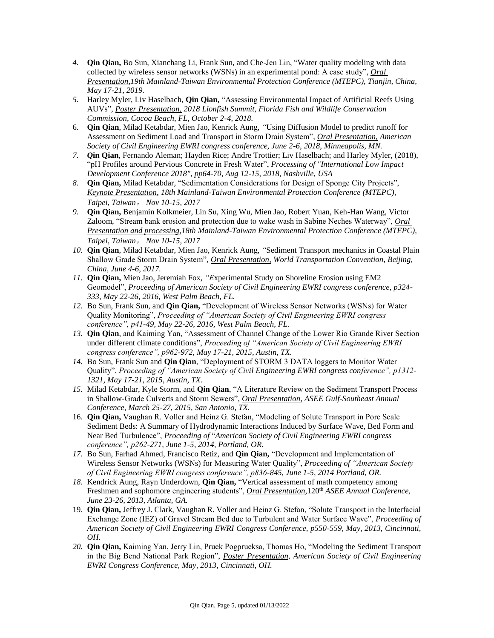- *4.* **Qin Qian,** Bo Sun, Xianchang Li, Frank Sun, and Che-Jen Lin, "Water quality modeling with data collected by wireless sensor networks (WSNs) in an experimental pond: A case study", *Oral Presentation,19th Mainland-Taiwan Environmental Protection Conference (MTEPC), Tianjin, China, May 17-21, 2019.*
- *5.* Harley Myler, Liv Haselbach, **Qin Qian,** "Assessing Environmental Impact of Artificial Reefs Using AUVs", *Poster Presentation, 2018 Lionfish Summit, Florida Fish and Wildlife Conservation Commission, Cocoa Beach, FL, October 2-4, 2018.*
- 6. **Qin Qian**, Milad Ketabdar, Mien Jao, Kenrick Aung, *"*Using Diffusion Model to predict runoff for Assessment on Sediment Load and Transport in Storm Drain System", *Oral Presentation, American Society of Civil Engineering EWRI congress conference, June 2-6, 2018, Minneapolis, MN.*
- *7. Q***in Qian**, Fernando Aleman; Hayden Rice; Andre Trottier; Liv Haselbach; and Harley Myler, (2018), "pH Profiles around Pervious Concrete in Fresh Water", *Processing of "International Low Impact Development Conference 2018", pp64-70, Aug 12-15, 2018, Nashville, USA*
- *8.* **Qin Qian,** Milad Ketabdar*,* "Sedimentation Considerations for Design of Sponge City Projects", *Keynote Presentation, 18th Mainland-Taiwan Environmental Protection Conference (MTEPC), Taipei, Taiwan*, *Nov 10-15, 2017*
- *9.* **Qin Qian,** Benjamin Kolkmeier, Lin Su, Xing Wu, Mien Jao, Robert Yuan, Keh-Han Wang, Victor Zaloom, "Stream bank erosion and protection due to wake wash in Sabine Neches Waterway", *Oral Presentation and processing,18th Mainland-Taiwan Environmental Protection Conference (MTEPC), Taipei, Taiwan*, *Nov 10-15, 2017*
- *10.* **Qin Qian**, Milad Ketabdar, Mien Jao, Kenrick Aung, *"*Sediment Transport mechanics in Coastal Plain Shallow Grade Storm Drain System"*, Oral Presentation, World Transportation Convention, Beijing, China, June 4-6, 2017.*
- *11.* **Qin Qian,** Mien Jao, Jeremiah Fox, *"E*xperimental Study on Shoreline Erosion using EM2 Geomodel", *Proceeding of American Society of Civil Engineering EWRI congress conference, p324- 333, May 22-26, 2016, West Palm Beach, FL.*
- *12.* Bo Sun, Frank Sun, and **Qin Qian,** "Development of Wireless Sensor Networks (WSNs) for Water Quality Monitoring", *Proceeding of "American Society of Civil Engineering EWRI congress conference", p41-49, May 22-26, 2016, West Palm Beach, FL.*
- *13.* **Qin Qian**, and Kaiming Yan, "Assessment of Channel Change of the Lower Rio Grande River Section under different climate conditions", *Proceeding of "American Society of Civil Engineering EWRI congress conference", p962-972, May 17-21, 2015, Austin, TX.*
- *14.* Bo Sun, Frank Sun and **Qin Qian**, "Deployment of STORM 3 DATA loggers to Monitor Water Quality", *Proceeding of "American Society of Civil Engineering EWRI congress conference", p1312- 1321, May 17-21, 2015, Austin, TX.*
- *15.* Milad Ketabdar, Kyle Storm, and **Qin Qian**, "A Literature Review on the Sediment Transport Process in Shallow-Grade Culverts and Storm Sewers", *Oral Presentation, ASEE Gulf-Southeast Annual Conference, March 25-27, 2015, San Antonio, TX.*
- 16. **Qin Qian,** Vaughan R. Voller and Heinz G. Stefan, "Modeling of Solute Transport in Pore Scale Sediment Beds: A Summary of Hydrodynamic Interactions Induced by Surface Wave, Bed Form and Near Bed Turbulence", *Proceeding of* "*American Society of Civil Engineering EWRI congress conference", p262-271, June 1-5, 2014, Portland, OR.*
- *17.* Bo Sun, Farhad Ahmed, Francisco Retiz, and **Qin Qian,** "Development and Implementation of Wireless Sensor Networks (WSNs) for Measuring Water Quality", *Proceeding of "American Society of Civil Engineering EWRI congress conference", p836-845, June 1-5, 2014 Portland, OR.*
- *18.* Kendrick Aung, Rayn Underdown, **Qin Qian,** "Vertical assessment of math competency among Freshmen and sophomore engineering students", *Oral Presentation*, 120<sup>th</sup> *ASEE Annual Conference*, *June 23-26, 2013, Atlanta, GA.*
- 19. **Qin Qian,** Jeffrey J. Clark, Vaughan R. Voller and Heinz G. Stefan, "Solute Transport in the Interfacial Exchange Zone (IEZ) of Gravel Stream Bed due to Turbulent and Water Surface Wave", *Proceeding of American Society of Civil Engineering EWRI Congress Conference, p550-559, May, 2013, Cincinnati, OH.*
- *20.* **Qin Qian,** Kaiming Yan, Jerry Lin, Pruek Pogprueksa, Thomas Ho, "Modeling the Sediment Transport in the Big Bend National Park Region", *Poster Presentation*, *American Society of Civil Engineering EWRI Congress Conference, May, 2013, Cincinnati, OH.*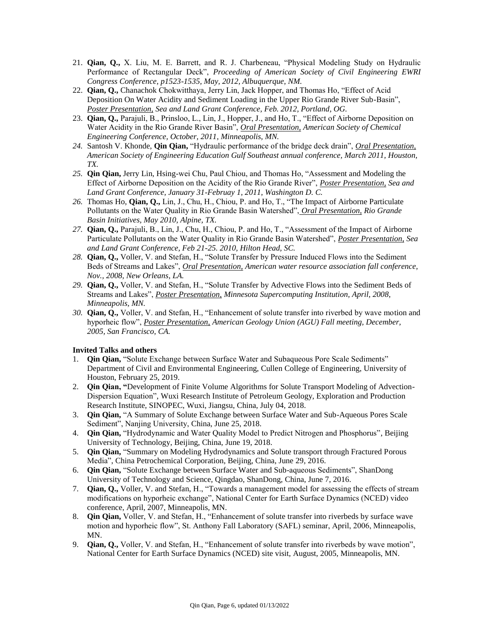- 21. **Qian, Q.,** X. Liu, M. E. Barrett, and R. J. Charbeneau, "Physical Modeling Study on Hydraulic Performance of Rectangular Deck", *Proceeding of American Society of Civil Engineering EWRI Congress Conference, p1523-1535, May, 2012, Albuquerque, NM.*
- 22. **Qian, Q.,** Chanachok Chokwitthaya, Jerry Lin, Jack Hopper, and Thomas Ho, "Effect of Acid Deposition On Water Acidity and Sediment Loading in the Upper Rio Grande River Sub-Basin", *Poster Presentation, Sea and Land Grant Conference, Feb. 2012, Portland, OG.*
- 23. **Qian, Q.,** Parajuli, B., Prinsloo, L., Lin, J., Hopper, J., and Ho, T., "Effect of Airborne Deposition on Water Acidity in the Rio Grande River Basin", *Oral Presentation, American Society of Chemical Engineering Conference, October, 2011, Minneapolis, MN.*
- *24.* Santosh V. Khonde, **Qin Qian,** "Hydraulic performance of the bridge deck drain", *Oral Presentation, American Society of Engineering Education Gulf Southeast annual conference, March 2011, Houston, TX.*
- *25.* **Qin Qian,** Jerry Lin, Hsing-wei Chu, Paul Chiou, and Thomas Ho, "Assessment and Modeling the Effect of Airborne Deposition on the Acidity of the Rio Grande River", *Poster Presentation, Sea and Land Grant Conference, January 31-Februay 1, 2011, Washington D. C.*
- *26.* Thomas Ho, **Qian, Q.,** Lin, J., Chu, H., Chiou, P. and Ho, T., "The Impact of Airborne Particulate Pollutants on the Water Quality in Rio Grande Basin Watershed", *Oral Presentation, Rio Grande Basin Initiatives, May 2010, Alpine, TX.*
- *27.* **Qian, Q.,** Parajuli, B., Lin, J., Chu, H., Chiou, P. and Ho, T., "Assessment of the Impact of Airborne Particulate Pollutants on the Water Quality in Rio Grande Basin Watershed", *Poster Presentation, Sea and Land Grant Conference, Feb 21-25. 2010, Hilton Head, SC.*
- *28.* **Qian, Q.,** Voller, V. and Stefan, H., "Solute Transfer by Pressure Induced Flows into the Sediment Beds of Streams and Lakes", *Oral Presentation, American water resource association fall conference, Nov., 2008, New Orleans, LA.*
- *29.* **Qian, Q.,** Voller, V. and Stefan, H., "Solute Transfer by Advective Flows into the Sediment Beds of Streams and Lakes", *Poster Presentation, Minnesota Supercomputing Institution, April, 2008, Minneapolis, MN.*
- *30.* **Qian, Q.,** Voller, V. and Stefan, H., "Enhancement of solute transfer into riverbed by wave motion and hyporheic flow", *Poster Presentation, American Geology Union (AGU) Fall meeting, December, 2005, San Francisco, CA.*

## **Invited Talks and others**

- 1. **Qin Qian,** "Solute Exchange between Surface Water and Subaqueous Pore Scale Sediments" Department of Civil and Environmental Engineering, Cullen College of Engineering, University of Houston, February 25, 2019.
- 2. **Qin Qian, "**Development of Finite Volume Algorithms for Solute Transport Modeling of Advection-Dispersion Equation", Wuxi Research Institute of Petroleum Geology, Exploration and Production Research Institute, SINOPEC, Wuxi, Jiangsu, China, July 04, 2018.
- 3. **Qin Qian,** "A Summary of Solute Exchange between Surface Water and Sub-Aqueous Pores Scale Sediment", Nanjing University, China, June 25, 2018.
- 4. **Qin Qian,** "Hydrodynamic and Water Quality Model to Predict Nitrogen and Phosphorus", Beijing University of Technology, Beijing, China, June 19, 2018.
- 5. **Qin Qian,** "Summary on Modeling Hydrodynamics and Solute transport through Fractured Porous Media", China Petrochemical Corporation, Beijing, China, June 29, 2016.
- 6. **Qin Qian,** "Solute Exchange between Surface Water and Sub-aqueous Sediments", ShanDong University of Technology and Science, Qingdao, ShanDong, China, June 7, 2016.
- 7. **Qian, Q.,** Voller, V. and Stefan, H., "Towards a management model for assessing the effects of stream modifications on hyporheic exchange", National Center for Earth Surface Dynamics (NCED) video conference, April, 2007, Minneapolis, MN.
- 8. **Qin Qian,** Voller, V. and Stefan, H., "Enhancement of solute transfer into riverbeds by surface wave motion and hyporheic flow", St. Anthony Fall Laboratory (SAFL) seminar, April, 2006, Minneapolis, MN.
- 9. **Qian, Q.,** Voller, V. and Stefan, H., "Enhancement of solute transfer into riverbeds by wave motion", National Center for Earth Surface Dynamics (NCED) site visit, August, 2005, Minneapolis, MN.